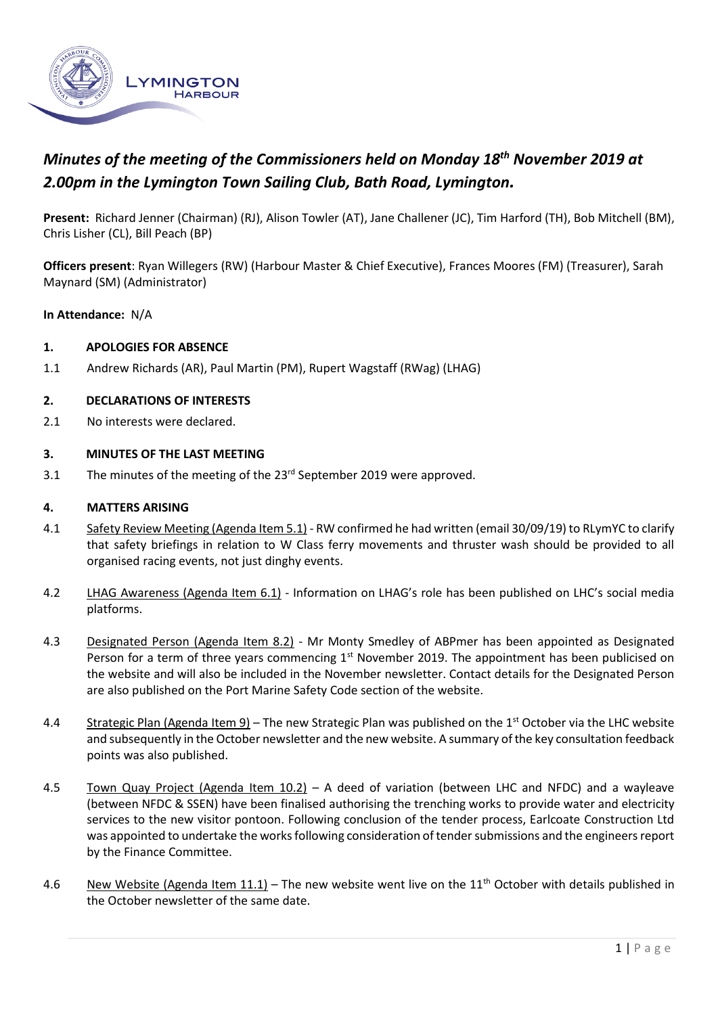

# *Minutes of the meeting of the Commissioners held on Monday 18th November 2019 at 2.00pm in the Lymington Town Sailing Club, Bath Road, Lymington.*

**Present:** Richard Jenner (Chairman) (RJ), Alison Towler (AT), Jane Challener (JC), Tim Harford (TH), Bob Mitchell (BM), Chris Lisher (CL), Bill Peach (BP)

**Officers present**: Ryan Willegers (RW) (Harbour Master & Chief Executive), Frances Moores (FM) (Treasurer), Sarah Maynard (SM) (Administrator)

#### **In Attendance:** N/A

#### **1. APOLOGIES FOR ABSENCE**

1.1 Andrew Richards (AR), Paul Martin (PM), Rupert Wagstaff (RWag) (LHAG)

#### **2. DECLARATIONS OF INTERESTS**

2.1 No interests were declared.

#### **3. MINUTES OF THE LAST MEETING**

3.1 The minutes of the meeting of the 23<sup>rd</sup> September 2019 were approved.

#### **4. MATTERS ARISING**

- 4.1 Safety Review Meeting (Agenda Item 5.1) RW confirmed he had written (email 30/09/19) to RLymYC to clarify that safety briefings in relation to W Class ferry movements and thruster wash should be provided to all organised racing events, not just dinghy events.
- 4.2 LHAG Awareness (Agenda Item 6.1) Information on LHAG's role has been published on LHC's social media platforms.
- 4.3 Designated Person (Agenda Item 8.2) Mr Monty Smedley of ABPmer has been appointed as Designated Person for a term of three years commencing 1<sup>st</sup> November 2019. The appointment has been publicised on the website and will also be included in the November newsletter. Contact details for the Designated Person are also published on the Port Marine Safety Code section of the website.
- 4.4 Strategic Plan (Agenda Item 9) The new Strategic Plan was published on the 1<sup>st</sup> October via the LHC website and subsequently in the October newsletter and the new website. A summary of the key consultation feedback points was also published.
- 4.5 Town Quay Project (Agenda Item 10.2) A deed of variation (between LHC and NFDC) and a wayleave (between NFDC & SSEN) have been finalised authorising the trenching works to provide water and electricity services to the new visitor pontoon. Following conclusion of the tender process, Earlcoate Construction Ltd was appointed to undertake the works following consideration of tender submissions and the engineers report by the Finance Committee.
- 4.6 New Website (Agenda Item 11.1) The new website went live on the 11<sup>th</sup> October with details published in the October newsletter of the same date.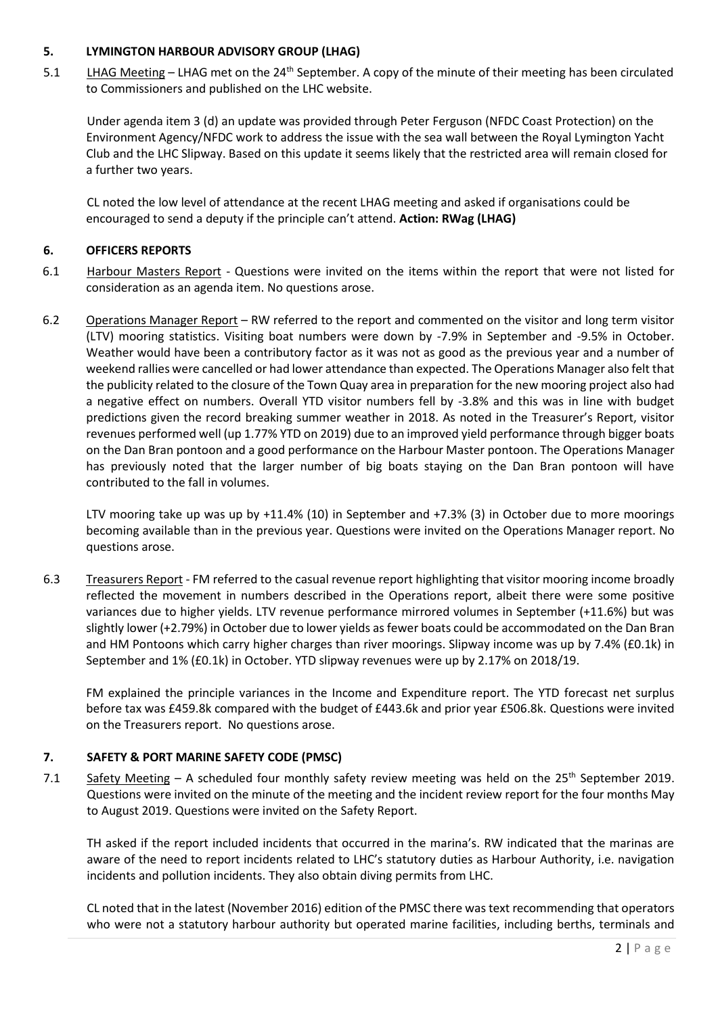### **5. LYMINGTON HARBOUR ADVISORY GROUP (LHAG)**

5.1 LHAG Meeting – LHAG met on the 24<sup>th</sup> September. A copy of the minute of their meeting has been circulated to Commissioners and published on the LHC website.

Under agenda item 3 (d) an update was provided through Peter Ferguson (NFDC Coast Protection) on the Environment Agency/NFDC work to address the issue with the sea wall between the Royal Lymington Yacht Club and the LHC Slipway. Based on this update it seems likely that the restricted area will remain closed for a further two years.

CL noted the low level of attendance at the recent LHAG meeting and asked if organisations could be encouraged to send a deputy if the principle can't attend. **Action: RWag (LHAG)**

# **6. OFFICERS REPORTS**

- 6.1 Harbour Masters Report Questions were invited on the items within the report that were not listed for consideration as an agenda item. No questions arose.
- 6.2 Operations Manager Report RW referred to the report and commented on the visitor and long term visitor (LTV) mooring statistics. Visiting boat numbers were down by -7.9% in September and -9.5% in October. Weather would have been a contributory factor as it was not as good as the previous year and a number of weekend rallies were cancelled or had lower attendance than expected. The Operations Manager also felt that the publicity related to the closure of the Town Quay area in preparation for the new mooring project also had a negative effect on numbers. Overall YTD visitor numbers fell by -3.8% and this was in line with budget predictions given the record breaking summer weather in 2018. As noted in the Treasurer's Report, visitor revenues performed well (up 1.77% YTD on 2019) due to an improved yield performance through bigger boats on the Dan Bran pontoon and a good performance on the Harbour Master pontoon. The Operations Manager has previously noted that the larger number of big boats staying on the Dan Bran pontoon will have contributed to the fall in volumes.

LTV mooring take up was up by +11.4% (10) in September and +7.3% (3) in October due to more moorings becoming available than in the previous year. Questions were invited on the Operations Manager report. No questions arose.

6.3 Treasurers Report - FM referred to the casual revenue report highlighting that visitor mooring income broadly reflected the movement in numbers described in the Operations report, albeit there were some positive variances due to higher yields. LTV revenue performance mirrored volumes in September (+11.6%) but was slightly lower (+2.79%) in October due to lower yields as fewer boats could be accommodated on the Dan Bran and HM Pontoons which carry higher charges than river moorings. Slipway income was up by 7.4% (£0.1k) in September and 1% (£0.1k) in October. YTD slipway revenues were up by 2.17% on 2018/19.

FM explained the principle variances in the Income and Expenditure report. The YTD forecast net surplus before tax was £459.8k compared with the budget of £443.6k and prior year £506.8k. Questions were invited on the Treasurers report. No questions arose.

# **7. SAFETY & PORT MARINE SAFETY CODE (PMSC)**

7.1 Safety Meeting – A scheduled four monthly safety review meeting was held on the  $25<sup>th</sup>$  September 2019. Questions were invited on the minute of the meeting and the incident review report for the four months May to August 2019. Questions were invited on the Safety Report.

TH asked if the report included incidents that occurred in the marina's. RW indicated that the marinas are aware of the need to report incidents related to LHC's statutory duties as Harbour Authority, i.e. navigation incidents and pollution incidents. They also obtain diving permits from LHC.

CL noted that in the latest (November 2016) edition of the PMSC there was text recommending that operators who were not a statutory harbour authority but operated marine facilities, including berths, terminals and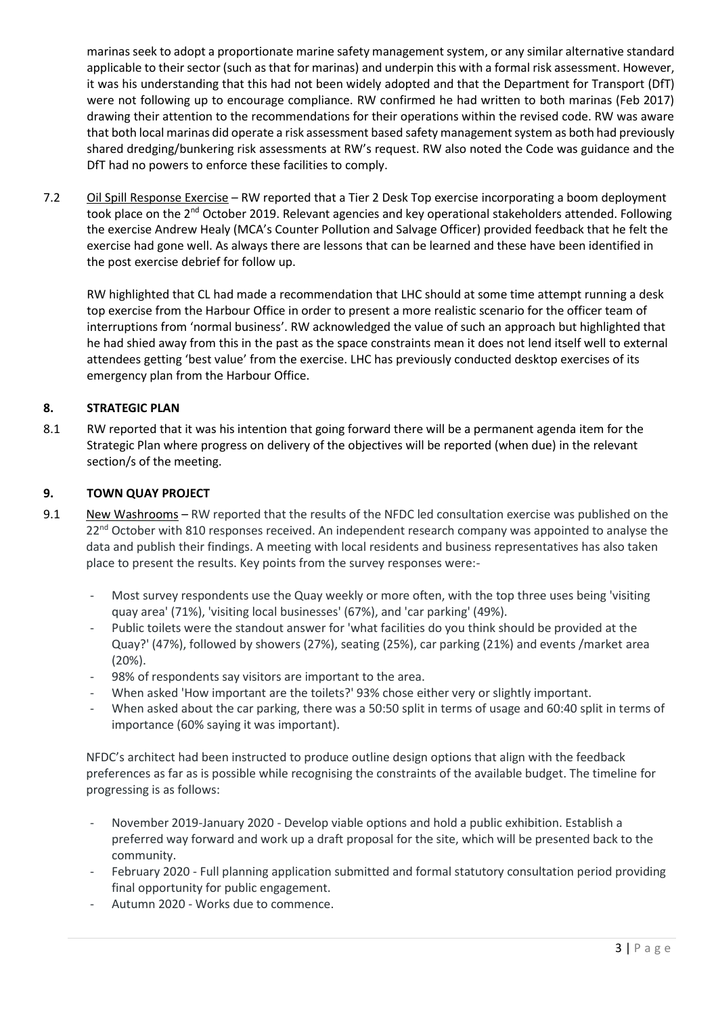marinas seek to adopt a proportionate marine safety management system, or any similar alternative standard applicable to their sector (such as that for marinas) and underpin this with a formal risk assessment. However, it was his understanding that this had not been widely adopted and that the Department for Transport (DfT) were not following up to encourage compliance. RW confirmed he had written to both marinas (Feb 2017) drawing their attention to the recommendations for their operations within the revised code. RW was aware that both local marinas did operate a risk assessment based safety management system as both had previously shared dredging/bunkering risk assessments at RW's request. RW also noted the Code was guidance and the DfT had no powers to enforce these facilities to comply.

7.2 Oil Spill Response Exercise – RW reported that a Tier 2 Desk Top exercise incorporating a boom deployment took place on the 2<sup>nd</sup> October 2019. Relevant agencies and key operational stakeholders attended. Following the exercise Andrew Healy (MCA's Counter Pollution and Salvage Officer) provided feedback that he felt the exercise had gone well. As always there are lessons that can be learned and these have been identified in the post exercise debrief for follow up.

RW highlighted that CL had made a recommendation that LHC should at some time attempt running a desk top exercise from the Harbour Office in order to present a more realistic scenario for the officer team of interruptions from 'normal business'. RW acknowledged the value of such an approach but highlighted that he had shied away from this in the past as the space constraints mean it does not lend itself well to external attendees getting 'best value' from the exercise. LHC has previously conducted desktop exercises of its emergency plan from the Harbour Office.

# **8. STRATEGIC PLAN**

8.1 RW reported that it was his intention that going forward there will be a permanent agenda item for the Strategic Plan where progress on delivery of the objectives will be reported (when due) in the relevant section/s of the meeting.

# **9. TOWN QUAY PROJECT**

- 9.1 New Washrooms RW reported that the results of the NFDC led consultation exercise was published on the  $22<sup>nd</sup>$  October with 810 responses received. An independent research company was appointed to analyse the data and publish their findings. A meeting with local residents and business representatives has also taken place to present the results. Key points from the survey responses were:-
	- Most survey respondents use the Quay weekly or more often, with the top three uses being 'visiting quay area' (71%), 'visiting local businesses' (67%), and 'car parking' (49%).
	- Public toilets were the standout answer for 'what facilities do you think should be provided at the Quay?' (47%), followed by showers (27%), seating (25%), car parking (21%) and events /market area (20%).
	- 98% of respondents say visitors are important to the area.
	- When asked 'How important are the toilets?' 93% chose either very or slightly important.
	- When asked about the car parking, there was a 50:50 split in terms of usage and 60:40 split in terms of importance (60% saying it was important).

NFDC's architect had been instructed to produce outline design options that align with the feedback preferences as far as is possible while recognising the constraints of the available budget. The timeline for progressing is as follows:

- November 2019-January 2020 Develop viable options and hold a public exhibition. Establish a preferred way forward and work up a draft proposal for the site, which will be presented back to the community.
- February 2020 Full planning application submitted and formal statutory consultation period providing final opportunity for public engagement.
- Autumn 2020 Works due to commence.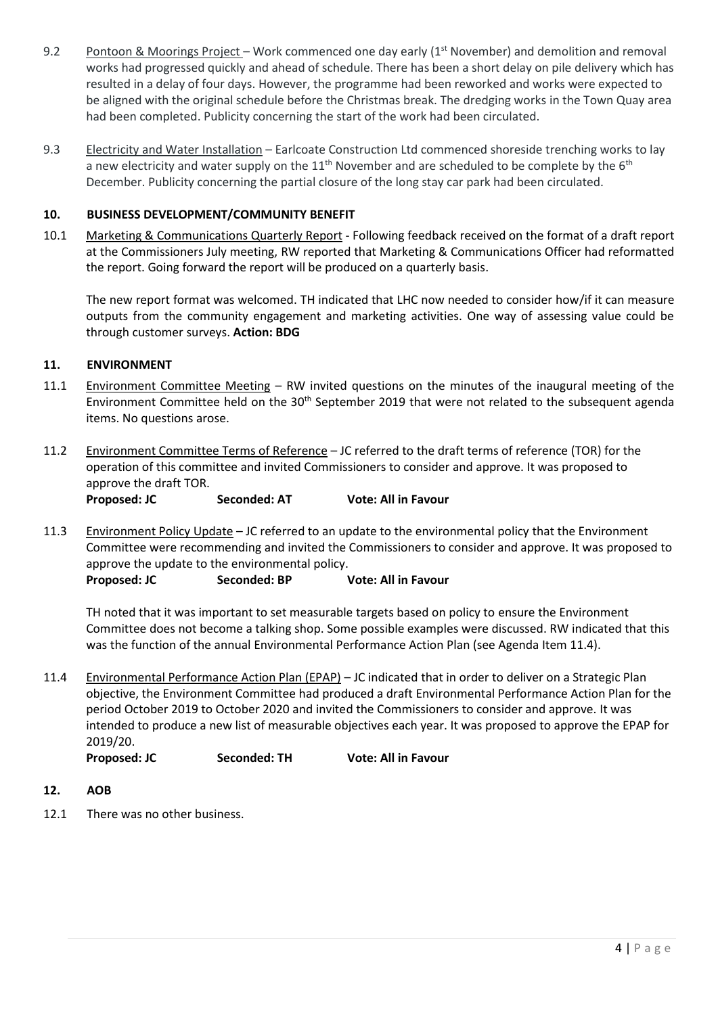- 9.2 Pontoon & Moorings Project Work commenced one day early  $(1^{st}$  November) and demolition and removal works had progressed quickly and ahead of schedule. There has been a short delay on pile delivery which has resulted in a delay of four days. However, the programme had been reworked and works were expected to be aligned with the original schedule before the Christmas break. The dredging works in the Town Quay area had been completed. Publicity concerning the start of the work had been circulated.
- 9.3 Electricity and Water Installation Earlcoate Construction Ltd commenced shoreside trenching works to lay a new electricity and water supply on the  $11<sup>th</sup>$  November and are scheduled to be complete by the  $6<sup>th</sup>$ December. Publicity concerning the partial closure of the long stay car park had been circulated.

# **10. BUSINESS DEVELOPMENT/COMMUNITY BENEFIT**

10.1 Marketing & Communications Quarterly Report - Following feedback received on the format of a draft report at the Commissioners July meeting, RW reported that Marketing & Communications Officer had reformatted the report. Going forward the report will be produced on a quarterly basis.

The new report format was welcomed. TH indicated that LHC now needed to consider how/if it can measure outputs from the community engagement and marketing activities. One way of assessing value could be through customer surveys. **Action: BDG**

#### **11. ENVIRONMENT**

- 11.1 Environment Committee Meeting RW invited questions on the minutes of the inaugural meeting of the Environment Committee held on the 30<sup>th</sup> September 2019 that were not related to the subsequent agenda items. No questions arose.
- 11.2 Environment Committee Terms of Reference JC referred to the draft terms of reference (TOR) for the operation of this committee and invited Commissioners to consider and approve. It was proposed to approve the draft TOR.

**Proposed: JC Seconded: AT Vote: All in Favour**

11.3 Environment Policy Update - JC referred to an update to the environmental policy that the Environment Committee were recommending and invited the Commissioners to consider and approve. It was proposed to approve the update to the environmental policy.

**Proposed: JC Seconded: BP Vote: All in Favour**

TH noted that it was important to set measurable targets based on policy to ensure the Environment Committee does not become a talking shop. Some possible examples were discussed. RW indicated that this was the function of the annual Environmental Performance Action Plan (see Agenda Item 11.4).

11.4 Environmental Performance Action Plan (EPAP) - JC indicated that in order to deliver on a Strategic Plan objective, the Environment Committee had produced a draft Environmental Performance Action Plan for the period October 2019 to October 2020 and invited the Commissioners to consider and approve. It was intended to produce a new list of measurable objectives each year. It was proposed to approve the EPAP for 2019/20.

**Proposed: JC Seconded: TH Vote: All in Favour**

- **12. AOB**
- 12.1 There was no other business.